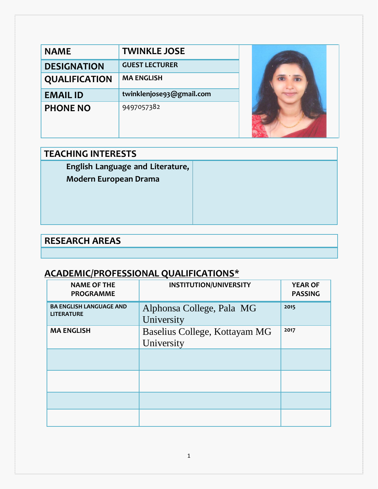| <b>NAME</b>          | <b>TWINKLE JOSE</b>      |  |
|----------------------|--------------------------|--|
| <b>DESIGNATION</b>   | <b>GUEST LECTURER</b>    |  |
| <b>QUALIFICATION</b> | <b>MA ENGLISH</b>        |  |
| <b>EMAIL ID</b>      | twinklenjose93@gmail.com |  |
| <b>PHONE NO</b>      | 9497057382               |  |

| <b>TEACHING INTERESTS</b>        |  |  |  |
|----------------------------------|--|--|--|
| English Language and Literature, |  |  |  |
| <b>Modern European Drama</b>     |  |  |  |
|                                  |  |  |  |
|                                  |  |  |  |
|                                  |  |  |  |
|                                  |  |  |  |

# **RESEARCH AREAS**

### **ACADEMIC/PROFESSIONAL QUALIFICATIONS\***

| <b>NAME OF THE</b><br><b>PROGRAMME</b>              | <b>INSTITUTION/UNIVERSITY</b>               | <b>YEAR OF</b><br><b>PASSING</b> |
|-----------------------------------------------------|---------------------------------------------|----------------------------------|
| <b>BA ENGLISH LANGUAGE AND</b><br><b>LITERATURE</b> | Alphonsa College, Pala MG<br>University     | 2015                             |
| <b>MA ENGLISH</b>                                   | Baselius College, Kottayam MG<br>University | 2017                             |
|                                                     |                                             |                                  |
|                                                     |                                             |                                  |
|                                                     |                                             |                                  |
|                                                     |                                             |                                  |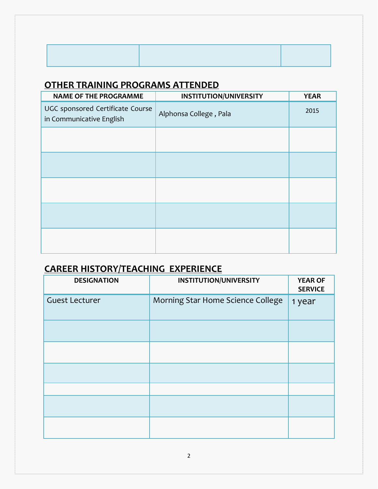### **OTHER TRAINING PROGRAMS ATTENDED**

| <b>NAME OF THE PROGRAMME</b>                                 | <b>INSTITUTION/UNIVERSITY</b> | <b>YEAR</b> |
|--------------------------------------------------------------|-------------------------------|-------------|
| UGC sponsored Certificate Course<br>in Communicative English | Alphonsa College, Pala        | 2015        |
|                                                              |                               |             |
|                                                              |                               |             |
|                                                              |                               |             |
|                                                              |                               |             |
|                                                              |                               |             |

## **CAREER HISTORY/TEACHING EXPERIENCE**

| <b>DESIGNATION</b>    | <b>INSTITUTION/UNIVERSITY</b>     | <b>YEAR OF</b><br><b>SERVICE</b> |
|-----------------------|-----------------------------------|----------------------------------|
| <b>Guest Lecturer</b> | Morning Star Home Science College | 1 year                           |
|                       |                                   |                                  |
|                       |                                   |                                  |
|                       |                                   |                                  |
|                       |                                   |                                  |
|                       |                                   |                                  |
|                       |                                   |                                  |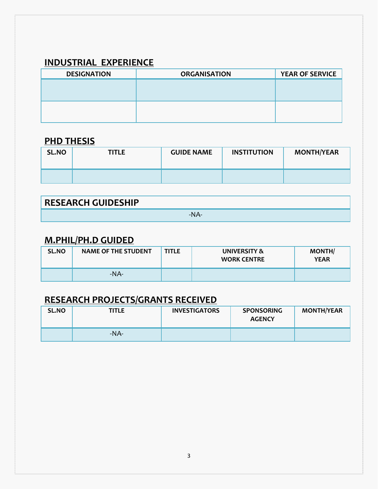### **INDUSTRIAL EXPERIENCE**

| <b>ORGANISATION</b> | <b>YEAR OF SERVICE</b> |
|---------------------|------------------------|
|                     |                        |
|                     |                        |
|                     |                        |
|                     |                        |
|                     |                        |

#### **PHD THESIS**

| SL.NO | <b>TITLE</b> | <b>GUIDE NAME</b> | <b>INSTITUTION</b> | <b>MONTH/YEAR</b> |
|-------|--------------|-------------------|--------------------|-------------------|
|       |              |                   |                    |                   |

| <b>RESEARCH GUIDESHIP</b> |  |
|---------------------------|--|
|                           |  |

### **M.PHIL/PH.D GUIDED**

| SL.NO | <b>NAME OF THE STUDENT</b> | <b>TITLE</b> | UNIVERSITY &<br><b>WORK CENTRE</b> | <b>MONTH/</b><br><b>YEAR</b> |
|-------|----------------------------|--------------|------------------------------------|------------------------------|
|       | $-NA-$                     |              |                                    |                              |

#### **RESEARCH PROJECTS/GRANTS RECEIVED**

| SL.NO | <b>TITLE</b> | <b>INVESTIGATORS</b> | <b>SPONSORING</b><br><b>AGENCY</b> | <b>MONTH/YEAR</b> |
|-------|--------------|----------------------|------------------------------------|-------------------|
|       | $-NA-$       |                      |                                    |                   |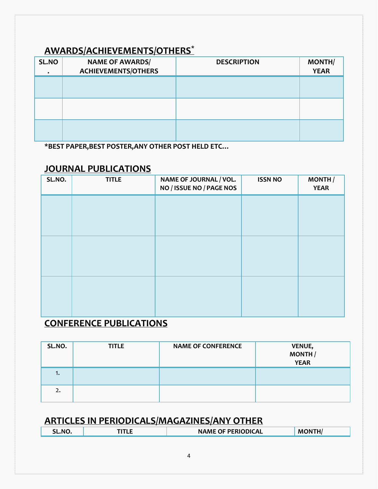#### **AWARDS/ACHIEVEMENTS/OTHERS\***

| SL.NO<br>$\bullet$ | <b>NAME OF AWARDS/</b><br><b>ACHIEVEMENTS/OTHERS</b> | <b>DESCRIPTION</b> | <b>MONTH/</b><br><b>YEAR</b> |
|--------------------|------------------------------------------------------|--------------------|------------------------------|
|                    |                                                      |                    |                              |
|                    |                                                      |                    |                              |
|                    |                                                      |                    |                              |

**\*BEST PAPER,BEST POSTER,ANY OTHER POST HELD ETC…**

#### **JOURNAL PUBLICATIONS**

| SL.NO. | <b>TITLE</b> | NAME OF JOURNAL / VOL.<br>NO / ISSUE NO / PAGE NOS | <b>ISSN NO</b> | <b>MONTH</b><br><b>YEAR</b> |
|--------|--------------|----------------------------------------------------|----------------|-----------------------------|
|        |              |                                                    |                |                             |
|        |              |                                                    |                |                             |
|        |              |                                                    |                |                             |
|        |              |                                                    |                |                             |
|        |              |                                                    |                |                             |
|        |              |                                                    |                |                             |
|        |              |                                                    |                |                             |
|        |              |                                                    |                |                             |

#### **CONFERENCE PUBLICATIONS**

| SL.NO. | <b>TITLE</b> | <b>NAME OF CONFERENCE</b> | <b>VENUE,</b><br>MONTH/<br><b>YEAR</b> |
|--------|--------------|---------------------------|----------------------------------------|
| 1.     |              |                           |                                        |
| 2.     |              |                           |                                        |

#### **ARTICLES IN PERIODICALS/MAGAZINES/ANY OTHER**

|  | the contract of the contract of the contract of the contract of the contract of the contract of the contract of<br>N <sub>c</sub> | -- | <b>\ME OF PERIODICAL</b><br>N<br>the contract of the contract of the contract of the contract of the contract of the contract of the contract of | M |  |
|--|-----------------------------------------------------------------------------------------------------------------------------------|----|--------------------------------------------------------------------------------------------------------------------------------------------------|---|--|
|--|-----------------------------------------------------------------------------------------------------------------------------------|----|--------------------------------------------------------------------------------------------------------------------------------------------------|---|--|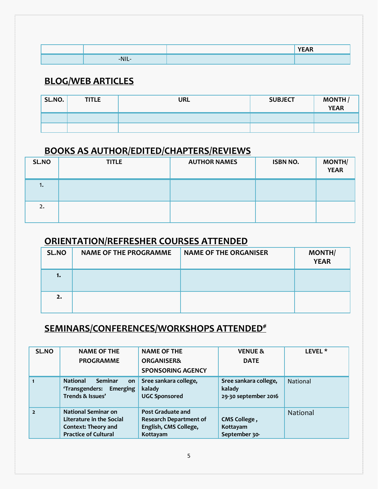|                         | VFTAD |
|-------------------------|-------|
| the company's company's |       |

#### **BLOG/WEB ARTICLES**

| SL.NO. | <b>TITLE</b> | URL | <b>SUBJECT</b> | MONTH<br>YEAR |
|--------|--------------|-----|----------------|---------------|
|        |              |     |                |               |
|        |              |     |                |               |

### **BOOKS AS AUTHOR/EDITED/CHAPTERS/REVIEWS**

| SL.NO | <b>TITLE</b> | <b>AUTHOR NAMES</b> | <b>ISBN NO.</b> | <b>MONTH/</b><br><b>YEAR</b> |
|-------|--------------|---------------------|-----------------|------------------------------|
| ι.    |              |                     |                 |                              |
| 2.    |              |                     |                 |                              |

#### **ORIENTATION/REFRESHER COURSES ATTENDED**

| SL.NO | <b>NAME OF THE PROGRAMME</b> | <b>NAME OF THE ORGANISER</b> | <b>MONTH/</b><br><b>YEAR</b> |
|-------|------------------------------|------------------------------|------------------------------|
| 1.    |                              |                              |                              |
| 2.    |                              |                              |                              |

### **SEMINARS/CONFERENCES/WORKSHOPS ATTENDED#**

| SL.NO          | <b>NAME OF THE</b>                                                                                                  | <b>NAME OF THE</b>                                                                      | <b>VENUE &amp;</b>                                      | LEVEL <sup>*</sup> |
|----------------|---------------------------------------------------------------------------------------------------------------------|-----------------------------------------------------------------------------------------|---------------------------------------------------------|--------------------|
|                | <b>PROGRAMME</b>                                                                                                    | <b>ORGANISER&amp;</b>                                                                   | <b>DATE</b>                                             |                    |
|                |                                                                                                                     | <b>SPONSORING AGENCY</b>                                                                |                                                         |                    |
|                | <b>National</b><br><b>Seminar</b><br>on<br>'Transgenders: Emerging<br>Trends & Issues'                              | Sree sankara college,<br>kalady<br><b>UGC Sponsored</b>                                 | Sree sankara college,<br>kalady<br>29-30 september 2016 | <b>National</b>    |
| $\overline{2}$ | <b>National Seminar on</b><br>Literature in the Social<br><b>Context: Theory and</b><br><b>Practice of Cultural</b> | Post Graduate and<br><b>Research Department of</b><br>English, CMS College,<br>Kottayam | CMS College,<br>Kottayam<br>September 30-               | <b>National</b>    |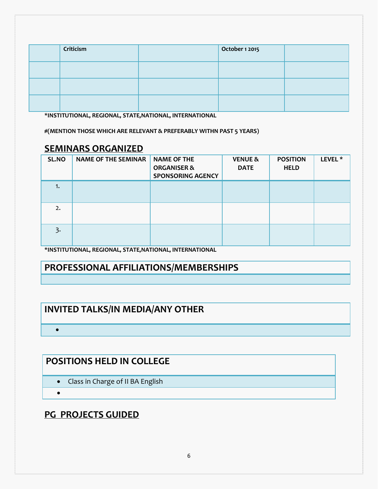| Criticism | October 1 2015 |  |
|-----------|----------------|--|
|           |                |  |
|           |                |  |
|           |                |  |

**\*INSTITUTIONAL, REGIONAL, STATE,NATIONAL, INTERNATIONAL**

**#(MENTION THOSE WHICH ARE RELEVANT & PREFERABLY WITHN PAST 5 YEARS)**

#### **SEMINARS ORGANIZED**

| SL.NO          | <b>NAME OF THE SEMINAR</b> | <b>NAME OF THE</b><br><b>ORGANISER &amp;</b><br><b>SPONSORING AGENCY</b> | <b>VENUE &amp;</b><br><b>DATE</b> | <b>POSITION</b><br><b>HELD</b> | LEVEL <sup>*</sup> |
|----------------|----------------------------|--------------------------------------------------------------------------|-----------------------------------|--------------------------------|--------------------|
| ۱.             |                            |                                                                          |                                   |                                |                    |
| 2.             |                            |                                                                          |                                   |                                |                    |
| $\overline{3}$ |                            |                                                                          |                                   |                                |                    |

**\*INSTITUTIONAL, REGIONAL, STATE,NATIONAL, INTERNATIONAL** 

#### **PROFESSIONAL AFFILIATIONS/MEMBERSHIPS**

#### **INVITED TALKS/IN MEDIA/ANY OTHER**

#### **POSITIONS HELD IN COLLEGE**

- Class in Charge of II BA English
- $\bullet$

 $\bullet$ 

#### **PG PROJECTS GUIDED**